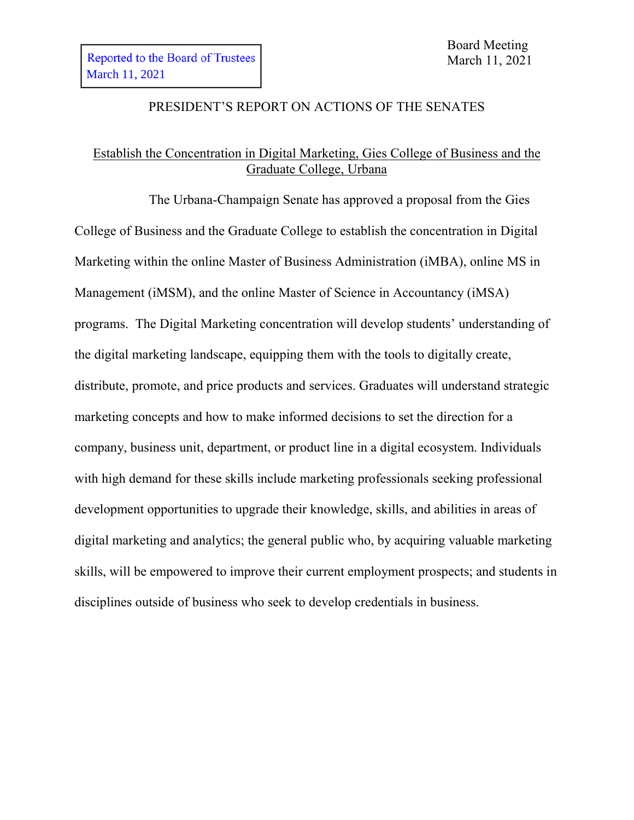### PRESIDENT'S REPORT ON ACTIONS OF THE SENATES

# Establish the Concentration in Digital Marketing, Gies College of Business and the Graduate College, Urbana

The Urbana-Champaign Senate has approved a proposal from the Gies College of Business and the Graduate College to establish the concentration in Digital Marketing within the online Master of Business Administration (iMBA), online MS in Management (iMSM), and the online Master of Science in Accountancy (iMSA) programs. The Digital Marketing concentration will develop students' understanding of the digital marketing landscape, equipping them with the tools to digitally create, distribute, promote, and price products and services. Graduates will understand strategic marketing concepts and how to make informed decisions to set the direction for a company, business unit, department, or product line in a digital ecosystem. Individuals with high demand for these skills include marketing professionals seeking professional development opportunities to upgrade their knowledge, skills, and abilities in areas of digital marketing and analytics; the general public who, by acquiring valuable marketing skills, will be empowered to improve their current employment prospects; and students in disciplines outside of business who seek to develop credentials in business.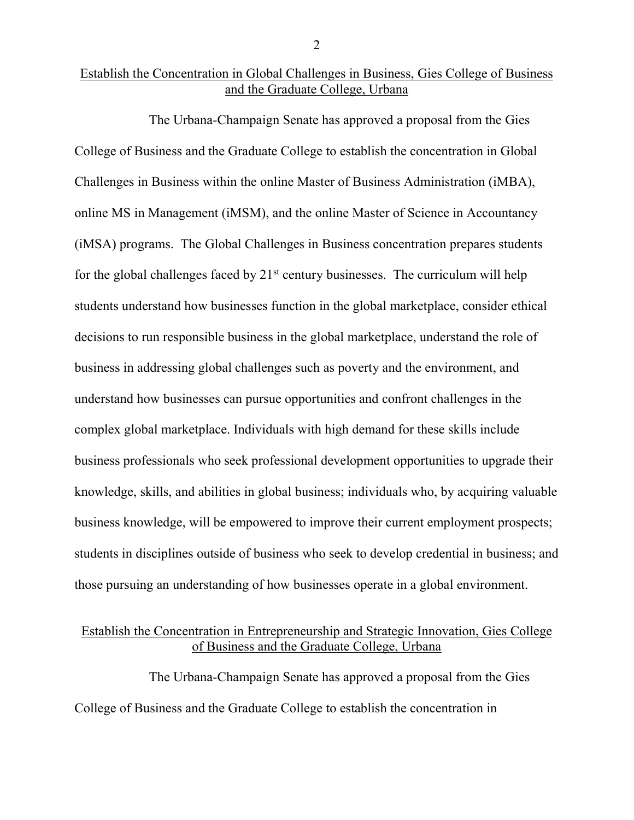#### Establish the Concentration in Global Challenges in Business, Gies College of Business and the Graduate College, Urbana

The Urbana-Champaign Senate has approved a proposal from the Gies College of Business and the Graduate College to establish the concentration in Global Challenges in Business within the online Master of Business Administration (iMBA), online MS in Management (iMSM), and the online Master of Science in Accountancy (iMSA) programs. The Global Challenges in Business concentration prepares students for the global challenges faced by  $21<sup>st</sup>$  century businesses. The curriculum will help students understand how businesses function in the global marketplace, consider ethical decisions to run responsible business in the global marketplace, understand the role of business in addressing global challenges such as poverty and the environment, and understand how businesses can pursue opportunities and confront challenges in the complex global marketplace. Individuals with high demand for these skills include business professionals who seek professional development opportunities to upgrade their knowledge, skills, and abilities in global business; individuals who, by acquiring valuable business knowledge, will be empowered to improve their current employment prospects; students in disciplines outside of business who seek to develop credential in business; and those pursuing an understanding of how businesses operate in a global environment.

### Establish the Concentration in Entrepreneurship and Strategic Innovation, Gies College of Business and the Graduate College, Urbana

The Urbana-Champaign Senate has approved a proposal from the Gies College of Business and the Graduate College to establish the concentration in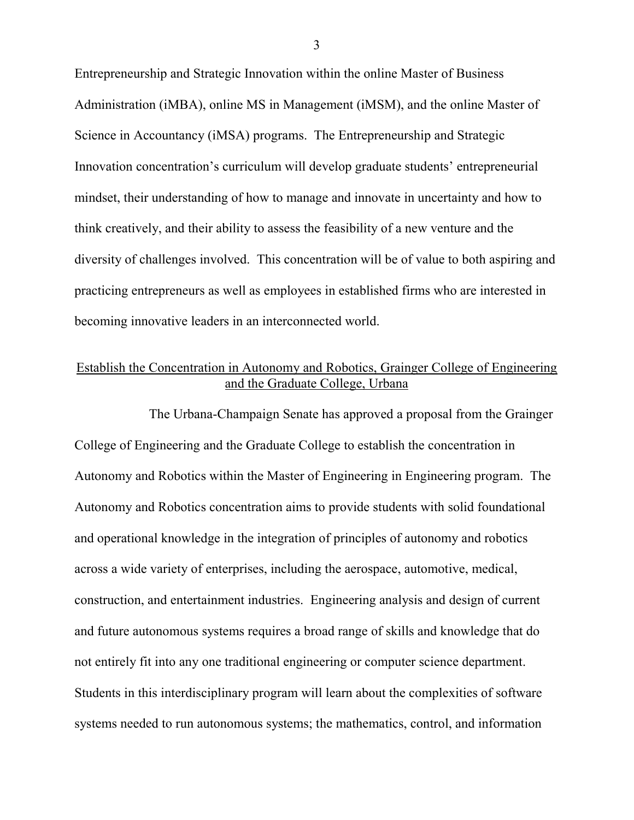Entrepreneurship and Strategic Innovation within the online Master of Business Administration (iMBA), online MS in Management (iMSM), and the online Master of Science in Accountancy (iMSA) programs. The Entrepreneurship and Strategic Innovation concentration's curriculum will develop graduate students' entrepreneurial mindset, their understanding of how to manage and innovate in uncertainty and how to think creatively, and their ability to assess the feasibility of a new venture and the diversity of challenges involved. This concentration will be of value to both aspiring and practicing entrepreneurs as well as employees in established firms who are interested in becoming innovative leaders in an interconnected world.

# Establish the Concentration in Autonomy and Robotics, Grainger College of Engineering and the Graduate College, Urbana

The Urbana-Champaign Senate has approved a proposal from the Grainger College of Engineering and the Graduate College to establish the concentration in Autonomy and Robotics within the Master of Engineering in Engineering program. The Autonomy and Robotics concentration aims to provide students with solid foundational and operational knowledge in the integration of principles of autonomy and robotics across a wide variety of enterprises, including the aerospace, automotive, medical, construction, and entertainment industries. Engineering analysis and design of current and future autonomous systems requires a broad range of skills and knowledge that do not entirely fit into any one traditional engineering or computer science department. Students in this interdisciplinary program will learn about the complexities of software systems needed to run autonomous systems; the mathematics, control, and information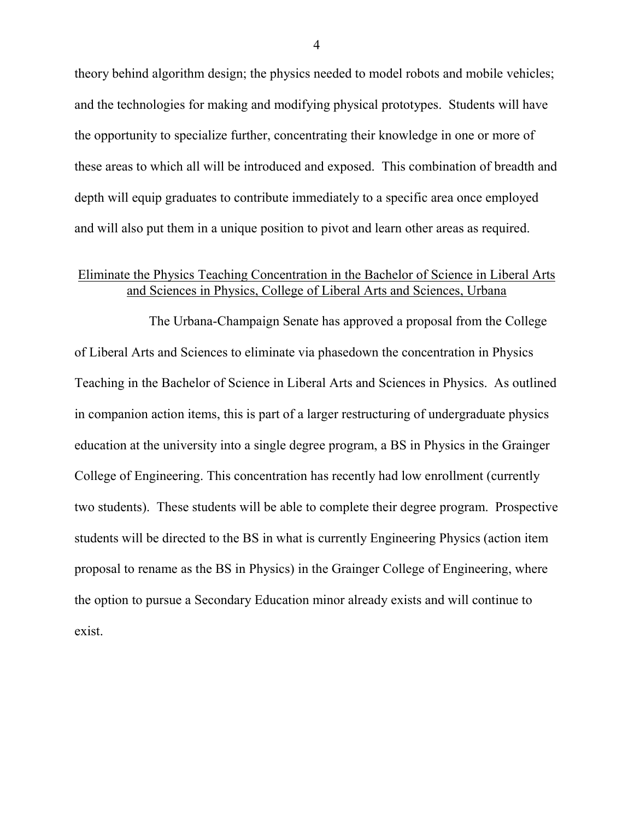theory behind algorithm design; the physics needed to model robots and mobile vehicles; and the technologies for making and modifying physical prototypes. Students will have the opportunity to specialize further, concentrating their knowledge in one or more of these areas to which all will be introduced and exposed. This combination of breadth and depth will equip graduates to contribute immediately to a specific area once employed and will also put them in a unique position to pivot and learn other areas as required.

# Eliminate the Physics Teaching Concentration in the Bachelor of Science in Liberal Arts and Sciences in Physics, College of Liberal Arts and Sciences, Urbana

The Urbana-Champaign Senate has approved a proposal from the College of Liberal Arts and Sciences to eliminate via phasedown the concentration in Physics Teaching in the Bachelor of Science in Liberal Arts and Sciences in Physics. As outlined in companion action items, this is part of a larger restructuring of undergraduate physics education at the university into a single degree program, a BS in Physics in the Grainger College of Engineering. This concentration has recently had low enrollment (currently two students). These students will be able to complete their degree program. Prospective students will be directed to the BS in what is currently Engineering Physics (action item proposal to rename as the BS in Physics) in the Grainger College of Engineering, where the option to pursue a Secondary Education minor already exists and will continue to exist.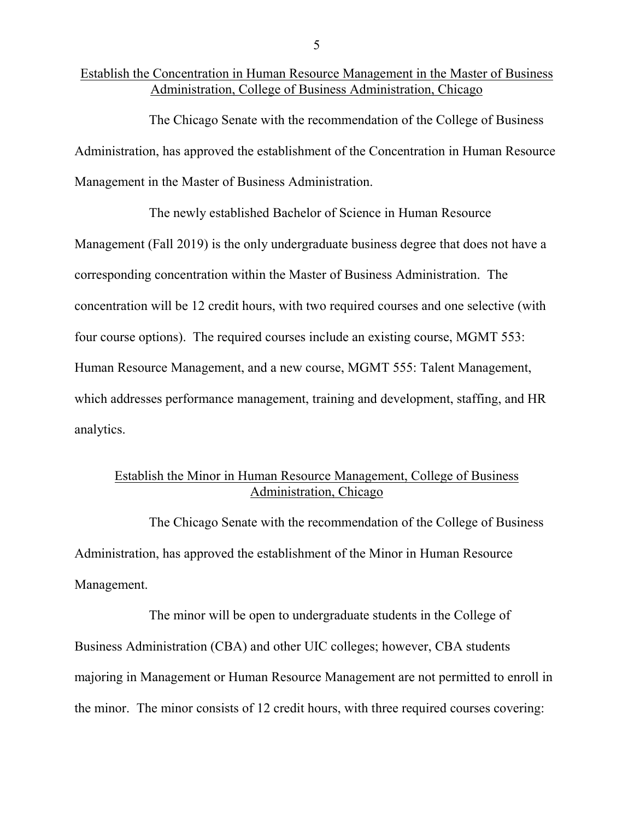#### Establish the Concentration in Human Resource Management in the Master of Business Administration, College of Business Administration, Chicago

The Chicago Senate with the recommendation of the College of Business Administration, has approved the establishment of the Concentration in Human Resource Management in the Master of Business Administration.

The newly established Bachelor of Science in Human Resource Management (Fall 2019) is the only undergraduate business degree that does not have a corresponding concentration within the Master of Business Administration. The concentration will be 12 credit hours, with two required courses and one selective (with four course options). The required courses include an existing course, MGMT 553: Human Resource Management, and a new course, MGMT 555: Talent Management, which addresses performance management, training and development, staffing, and HR analytics.

### Establish the Minor in Human Resource Management, College of Business Administration, Chicago

The Chicago Senate with the recommendation of the College of Business Administration, has approved the establishment of the Minor in Human Resource Management.

The minor will be open to undergraduate students in the College of Business Administration (CBA) and other UIC colleges; however, CBA students majoring in Management or Human Resource Management are not permitted to enroll in the minor. The minor consists of 12 credit hours, with three required courses covering: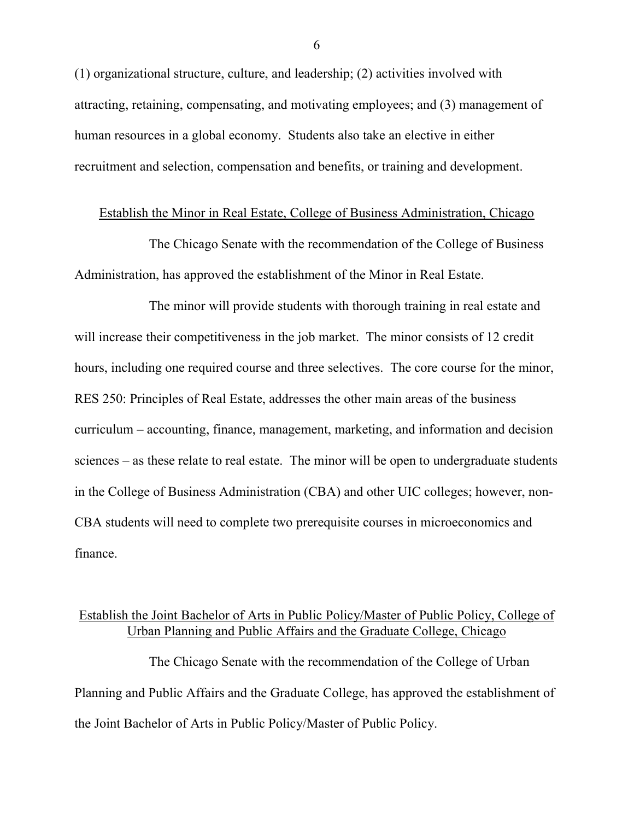(1) organizational structure, culture, and leadership; (2) activities involved with attracting, retaining, compensating, and motivating employees; and (3) management of human resources in a global economy. Students also take an elective in either recruitment and selection, compensation and benefits, or training and development.

#### Establish the Minor in Real Estate, College of Business Administration, Chicago

The Chicago Senate with the recommendation of the College of Business Administration, has approved the establishment of the Minor in Real Estate.

The minor will provide students with thorough training in real estate and will increase their competitiveness in the job market. The minor consists of 12 credit hours, including one required course and three selectives. The core course for the minor, RES 250: Principles of Real Estate, addresses the other main areas of the business curriculum – accounting, finance, management, marketing, and information and decision sciences – as these relate to real estate. The minor will be open to undergraduate students in the College of Business Administration (CBA) and other UIC colleges; however, non-CBA students will need to complete two prerequisite courses in microeconomics and finance.

### Establish the Joint Bachelor of Arts in Public Policy/Master of Public Policy, College of Urban Planning and Public Affairs and the Graduate College, Chicago

The Chicago Senate with the recommendation of the College of Urban Planning and Public Affairs and the Graduate College, has approved the establishment of the Joint Bachelor of Arts in Public Policy/Master of Public Policy.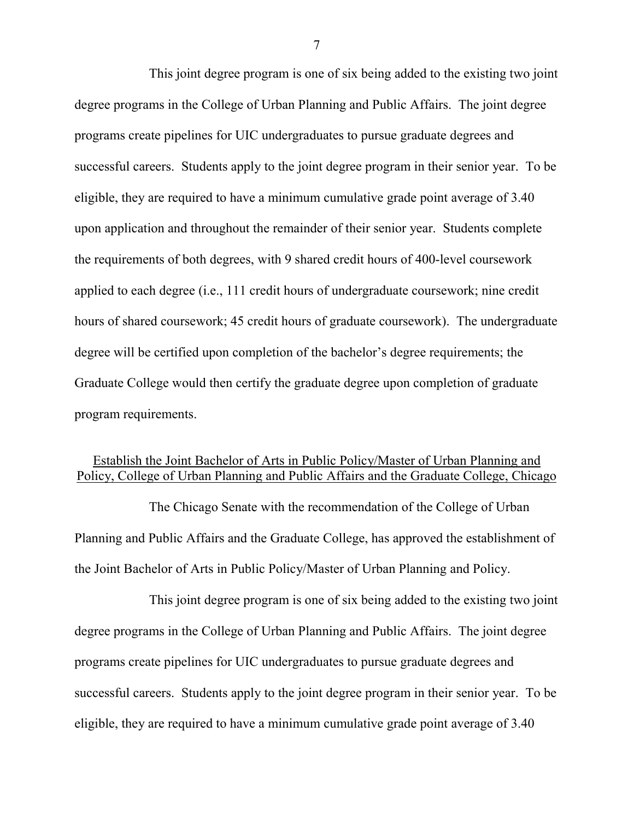This joint degree program is one of six being added to the existing two joint degree programs in the College of Urban Planning and Public Affairs. The joint degree programs create pipelines for UIC undergraduates to pursue graduate degrees and successful careers. Students apply to the joint degree program in their senior year. To be eligible, they are required to have a minimum cumulative grade point average of 3.40 upon application and throughout the remainder of their senior year. Students complete the requirements of both degrees, with 9 shared credit hours of 400-level coursework applied to each degree (i.e., 111 credit hours of undergraduate coursework; nine credit hours of shared coursework; 45 credit hours of graduate coursework). The undergraduate degree will be certified upon completion of the bachelor's degree requirements; the Graduate College would then certify the graduate degree upon completion of graduate program requirements.

### Establish the Joint Bachelor of Arts in Public Policy/Master of Urban Planning and Policy, College of Urban Planning and Public Affairs and the Graduate College, Chicago

The Chicago Senate with the recommendation of the College of Urban Planning and Public Affairs and the Graduate College, has approved the establishment of the Joint Bachelor of Arts in Public Policy/Master of Urban Planning and Policy.

This joint degree program is one of six being added to the existing two joint degree programs in the College of Urban Planning and Public Affairs. The joint degree programs create pipelines for UIC undergraduates to pursue graduate degrees and successful careers. Students apply to the joint degree program in their senior year. To be eligible, they are required to have a minimum cumulative grade point average of 3.40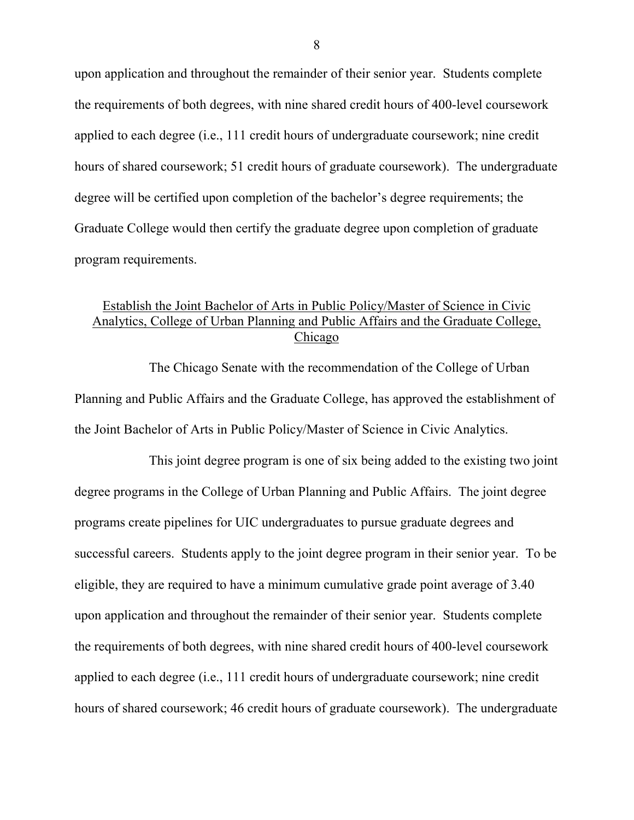upon application and throughout the remainder of their senior year. Students complete the requirements of both degrees, with nine shared credit hours of 400-level coursework applied to each degree (i.e., 111 credit hours of undergraduate coursework; nine credit hours of shared coursework; 51 credit hours of graduate coursework). The undergraduate degree will be certified upon completion of the bachelor's degree requirements; the Graduate College would then certify the graduate degree upon completion of graduate program requirements.

### Establish the Joint Bachelor of Arts in Public Policy/Master of Science in Civic Analytics, College of Urban Planning and Public Affairs and the Graduate College, Chicago

The Chicago Senate with the recommendation of the College of Urban Planning and Public Affairs and the Graduate College, has approved the establishment of the Joint Bachelor of Arts in Public Policy/Master of Science in Civic Analytics.

This joint degree program is one of six being added to the existing two joint degree programs in the College of Urban Planning and Public Affairs. The joint degree programs create pipelines for UIC undergraduates to pursue graduate degrees and successful careers. Students apply to the joint degree program in their senior year. To be eligible, they are required to have a minimum cumulative grade point average of 3.40 upon application and throughout the remainder of their senior year. Students complete the requirements of both degrees, with nine shared credit hours of 400-level coursework applied to each degree (i.e., 111 credit hours of undergraduate coursework; nine credit hours of shared coursework; 46 credit hours of graduate coursework). The undergraduate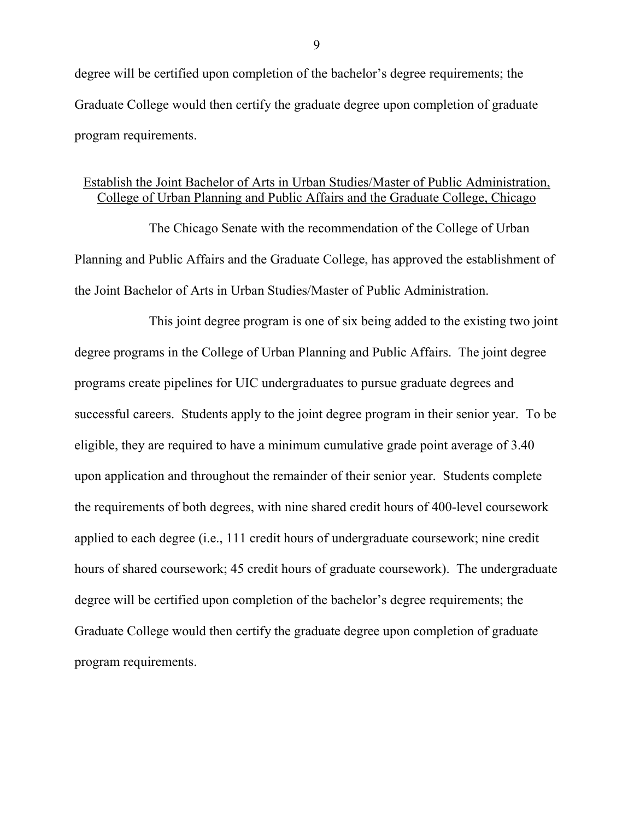degree will be certified upon completion of the bachelor's degree requirements; the Graduate College would then certify the graduate degree upon completion of graduate program requirements.

## Establish the Joint Bachelor of Arts in Urban Studies/Master of Public Administration, College of Urban Planning and Public Affairs and the Graduate College, Chicago

The Chicago Senate with the recommendation of the College of Urban Planning and Public Affairs and the Graduate College, has approved the establishment of the Joint Bachelor of Arts in Urban Studies/Master of Public Administration.

This joint degree program is one of six being added to the existing two joint degree programs in the College of Urban Planning and Public Affairs. The joint degree programs create pipelines for UIC undergraduates to pursue graduate degrees and successful careers. Students apply to the joint degree program in their senior year. To be eligible, they are required to have a minimum cumulative grade point average of 3.40 upon application and throughout the remainder of their senior year. Students complete the requirements of both degrees, with nine shared credit hours of 400-level coursework applied to each degree (i.e., 111 credit hours of undergraduate coursework; nine credit hours of shared coursework; 45 credit hours of graduate coursework). The undergraduate degree will be certified upon completion of the bachelor's degree requirements; the Graduate College would then certify the graduate degree upon completion of graduate program requirements.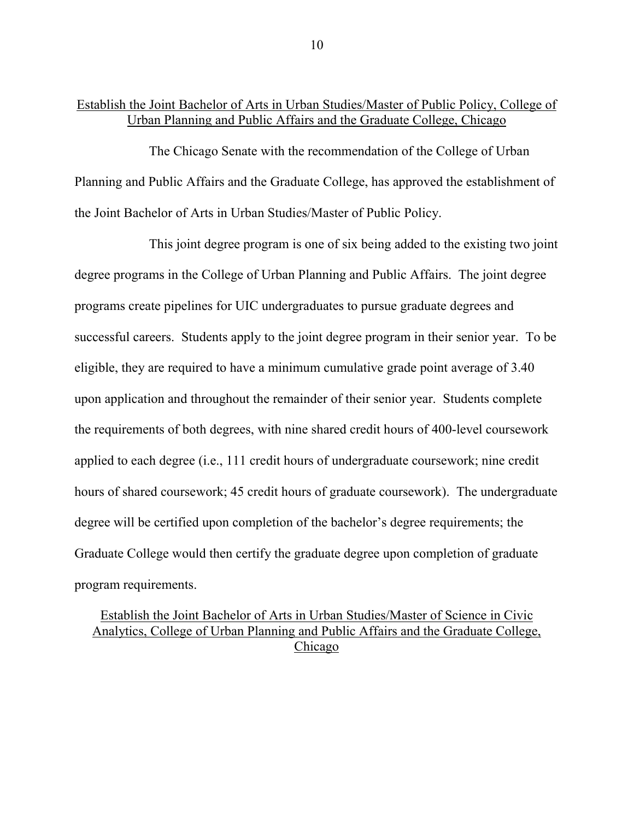### Establish the Joint Bachelor of Arts in Urban Studies/Master of Public Policy, College of Urban Planning and Public Affairs and the Graduate College, Chicago

The Chicago Senate with the recommendation of the College of Urban Planning and Public Affairs and the Graduate College, has approved the establishment of the Joint Bachelor of Arts in Urban Studies/Master of Public Policy.

This joint degree program is one of six being added to the existing two joint degree programs in the College of Urban Planning and Public Affairs. The joint degree programs create pipelines for UIC undergraduates to pursue graduate degrees and successful careers. Students apply to the joint degree program in their senior year. To be eligible, they are required to have a minimum cumulative grade point average of 3.40 upon application and throughout the remainder of their senior year. Students complete the requirements of both degrees, with nine shared credit hours of 400-level coursework applied to each degree (i.e., 111 credit hours of undergraduate coursework; nine credit hours of shared coursework; 45 credit hours of graduate coursework). The undergraduate degree will be certified upon completion of the bachelor's degree requirements; the Graduate College would then certify the graduate degree upon completion of graduate program requirements.

Establish the Joint Bachelor of Arts in Urban Studies/Master of Science in Civic Analytics, College of Urban Planning and Public Affairs and the Graduate College, Chicago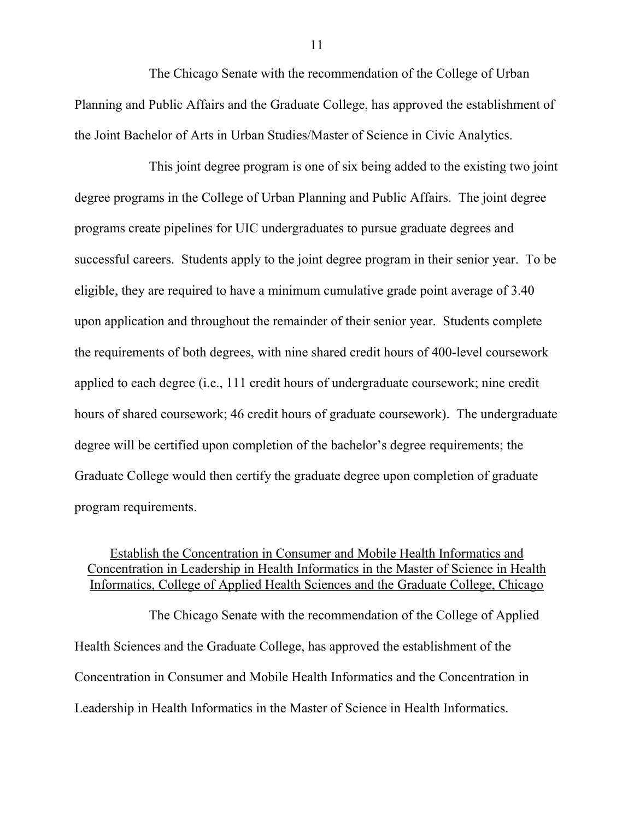The Chicago Senate with the recommendation of the College of Urban Planning and Public Affairs and the Graduate College, has approved the establishment of the Joint Bachelor of Arts in Urban Studies/Master of Science in Civic Analytics.

This joint degree program is one of six being added to the existing two joint degree programs in the College of Urban Planning and Public Affairs. The joint degree programs create pipelines for UIC undergraduates to pursue graduate degrees and successful careers. Students apply to the joint degree program in their senior year. To be eligible, they are required to have a minimum cumulative grade point average of 3.40 upon application and throughout the remainder of their senior year. Students complete the requirements of both degrees, with nine shared credit hours of 400-level coursework applied to each degree (i.e., 111 credit hours of undergraduate coursework; nine credit hours of shared coursework; 46 credit hours of graduate coursework). The undergraduate degree will be certified upon completion of the bachelor's degree requirements; the Graduate College would then certify the graduate degree upon completion of graduate program requirements.

# Establish the Concentration in Consumer and Mobile Health Informatics and Concentration in Leadership in Health Informatics in the Master of Science in Health Informatics, College of Applied Health Sciences and the Graduate College, Chicago

The Chicago Senate with the recommendation of the College of Applied Health Sciences and the Graduate College, has approved the establishment of the Concentration in Consumer and Mobile Health Informatics and the Concentration in Leadership in Health Informatics in the Master of Science in Health Informatics.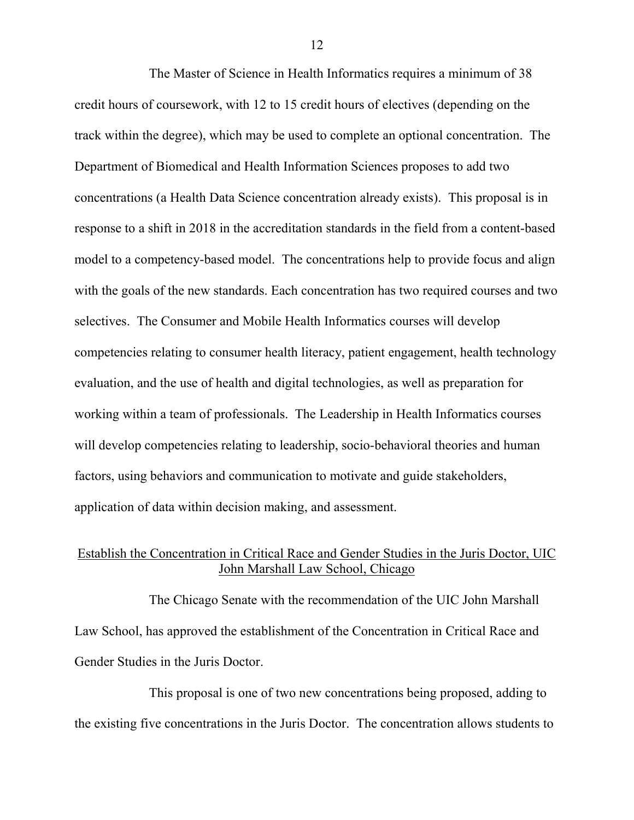The Master of Science in Health Informatics requires a minimum of 38 credit hours of coursework, with 12 to 15 credit hours of electives (depending on the track within the degree), which may be used to complete an optional concentration. The Department of Biomedical and Health Information Sciences proposes to add two concentrations (a Health Data Science concentration already exists). This proposal is in response to a shift in 2018 in the accreditation standards in the field from a content-based model to a competency-based model. The concentrations help to provide focus and align with the goals of the new standards. Each concentration has two required courses and two selectives. The Consumer and Mobile Health Informatics courses will develop competencies relating to consumer health literacy, patient engagement, health technology evaluation, and the use of health and digital technologies, as well as preparation for working within a team of professionals. The Leadership in Health Informatics courses will develop competencies relating to leadership, socio-behavioral theories and human factors, using behaviors and communication to motivate and guide stakeholders, application of data within decision making, and assessment.

# Establish the Concentration in Critical Race and Gender Studies in the Juris Doctor, UIC John Marshall Law School, Chicago

The Chicago Senate with the recommendation of the UIC John Marshall Law School, has approved the establishment of the Concentration in Critical Race and Gender Studies in the Juris Doctor.

This proposal is one of two new concentrations being proposed, adding to the existing five concentrations in the Juris Doctor. The concentration allows students to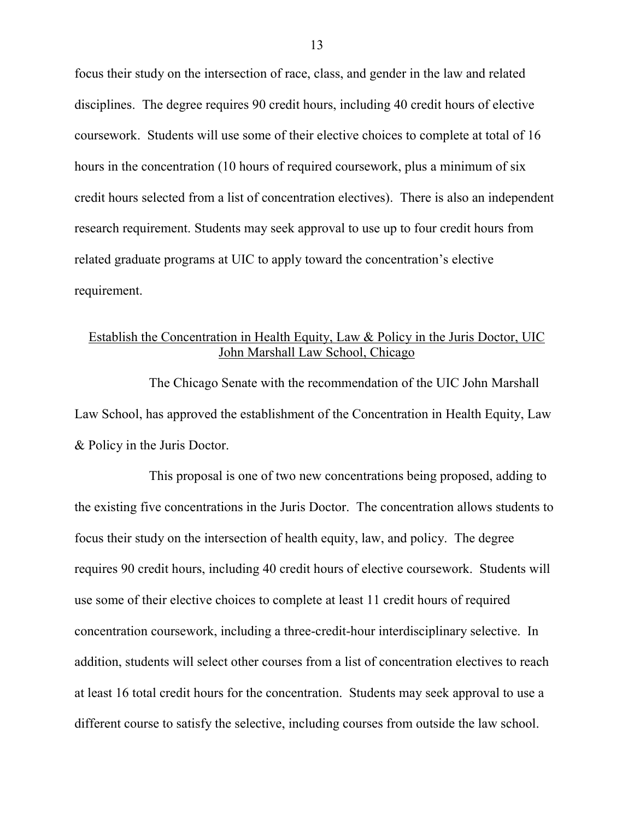focus their study on the intersection of race, class, and gender in the law and related disciplines. The degree requires 90 credit hours, including 40 credit hours of elective coursework. Students will use some of their elective choices to complete at total of 16 hours in the concentration (10 hours of required coursework, plus a minimum of six credit hours selected from a list of concentration electives). There is also an independent research requirement. Students may seek approval to use up to four credit hours from related graduate programs at UIC to apply toward the concentration's elective requirement.

# Establish the Concentration in Health Equity, Law & Policy in the Juris Doctor, UIC John Marshall Law School, Chicago

The Chicago Senate with the recommendation of the UIC John Marshall Law School, has approved the establishment of the Concentration in Health Equity, Law & Policy in the Juris Doctor.

This proposal is one of two new concentrations being proposed, adding to the existing five concentrations in the Juris Doctor. The concentration allows students to focus their study on the intersection of health equity, law, and policy. The degree requires 90 credit hours, including 40 credit hours of elective coursework. Students will use some of their elective choices to complete at least 11 credit hours of required concentration coursework, including a three-credit-hour interdisciplinary selective. In addition, students will select other courses from a list of concentration electives to reach at least 16 total credit hours for the concentration. Students may seek approval to use a different course to satisfy the selective, including courses from outside the law school.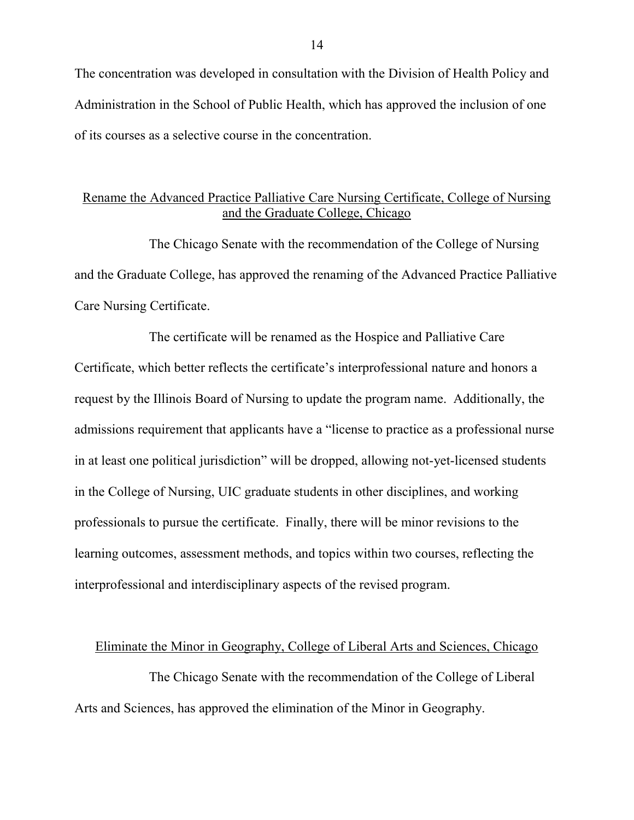The concentration was developed in consultation with the Division of Health Policy and Administration in the School of Public Health, which has approved the inclusion of one of its courses as a selective course in the concentration.

# Rename the Advanced Practice Palliative Care Nursing Certificate, College of Nursing and the Graduate College, Chicago

The Chicago Senate with the recommendation of the College of Nursing and the Graduate College, has approved the renaming of the Advanced Practice Palliative Care Nursing Certificate.

The certificate will be renamed as the Hospice and Palliative Care Certificate, which better reflects the certificate's interprofessional nature and honors a request by the Illinois Board of Nursing to update the program name. Additionally, the admissions requirement that applicants have a "license to practice as a professional nurse in at least one political jurisdiction" will be dropped, allowing not-yet-licensed students in the College of Nursing, UIC graduate students in other disciplines, and working professionals to pursue the certificate. Finally, there will be minor revisions to the learning outcomes, assessment methods, and topics within two courses, reflecting the interprofessional and interdisciplinary aspects of the revised program.

Eliminate the Minor in Geography, College of Liberal Arts and Sciences, Chicago

The Chicago Senate with the recommendation of the College of Liberal Arts and Sciences, has approved the elimination of the Minor in Geography.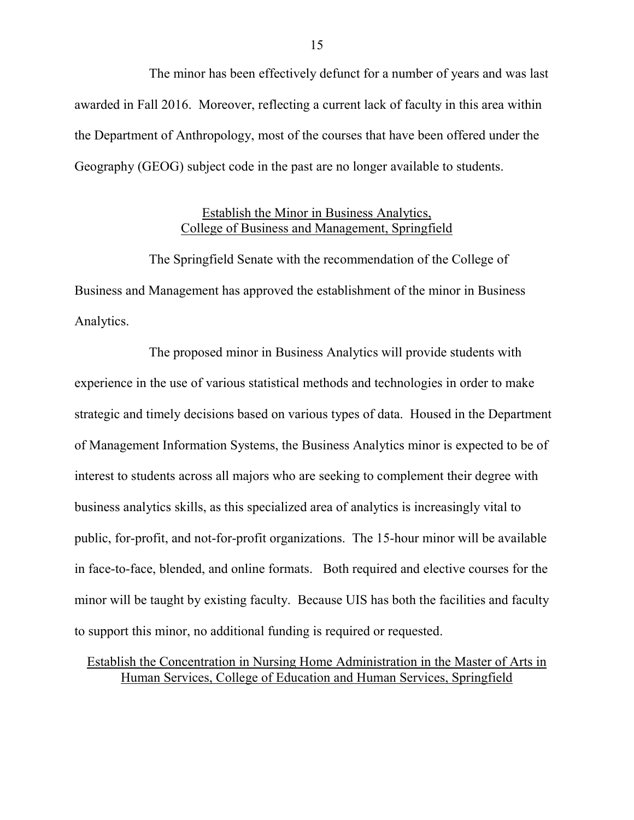The minor has been effectively defunct for a number of years and was last awarded in Fall 2016. Moreover, reflecting a current lack of faculty in this area within the Department of Anthropology, most of the courses that have been offered under the Geography (GEOG) subject code in the past are no longer available to students.

#### Establish the Minor in Business Analytics, College of Business and Management, Springfield

The Springfield Senate with the recommendation of the College of Business and Management has approved the establishment of the minor in Business Analytics.

The proposed minor in Business Analytics will provide students with experience in the use of various statistical methods and technologies in order to make strategic and timely decisions based on various types of data. Housed in the Department of Management Information Systems, the Business Analytics minor is expected to be of interest to students across all majors who are seeking to complement their degree with business analytics skills, as this specialized area of analytics is increasingly vital to public, for-profit, and not-for-profit organizations. The 15-hour minor will be available in face-to-face, blended, and online formats. Both required and elective courses for the minor will be taught by existing faculty. Because UIS has both the facilities and faculty to support this minor, no additional funding is required or requested.

Establish the Concentration in Nursing Home Administration in the Master of Arts in Human Services, College of Education and Human Services, Springfield